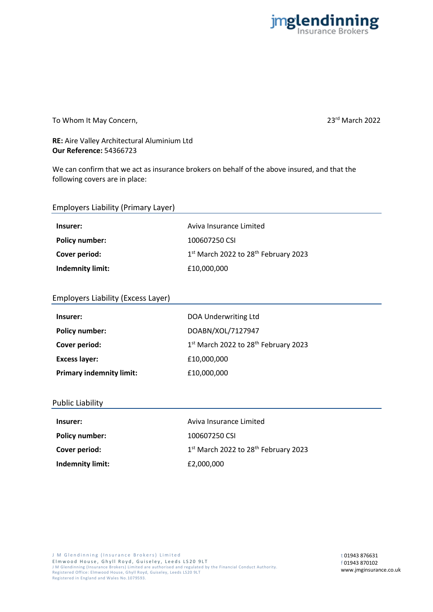

To Whom It May Concern, **23<sup>rd</sup> March 2022** 

## **RE:** Aire Valley Architectural Aluminium Ltd **Our Reference:** 54366723

We can confirm that we act as insurance brokers on behalf of the above insured, and that the following covers are in place:

| <b>Employers Liability (Primary Layer)</b> |                                                              |
|--------------------------------------------|--------------------------------------------------------------|
| Insurer:                                   | Aviva Insurance Limited                                      |
| <b>Policy number:</b>                      | 100607250 CSI                                                |
| Cover period:                              | 1 <sup>st</sup> March 2022 to 28 <sup>th</sup> February 2023 |
| <b>Indemnity limit:</b>                    | £10,000,000                                                  |

## Employers Liability (Excess Layer)

| Insurer:                        | DOA Underwriting Ltd                                         |
|---------------------------------|--------------------------------------------------------------|
| <b>Policy number:</b>           | DOABN/XOL/7127947                                            |
| Cover period:                   | 1 <sup>st</sup> March 2022 to 28 <sup>th</sup> February 2023 |
| <b>Excess layer:</b>            | £10,000,000                                                  |
| <b>Primary indemnity limit:</b> | £10,000,000                                                  |

### Public Liability

| Insurer:              | Aviva Insurance Limited                                      |
|-----------------------|--------------------------------------------------------------|
| <b>Policy number:</b> | 100607250 CSI                                                |
| Cover period:         | 1 <sup>st</sup> March 2022 to 28 <sup>th</sup> February 2023 |
| Indemnity limit:      | £2,000,000                                                   |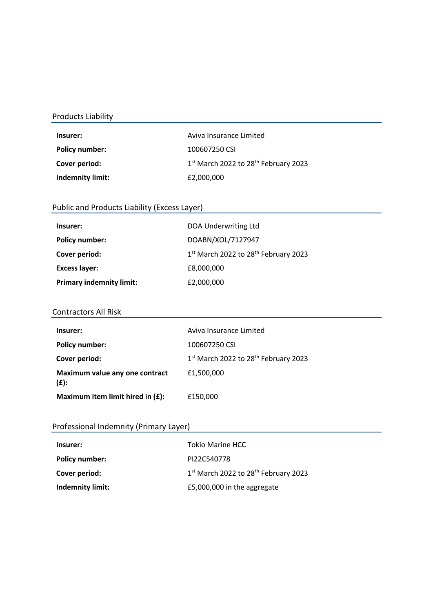# Products Liability

| Insurer:                | Aviva Insurance Limited                          |
|-------------------------|--------------------------------------------------|
| Policy number:          | 100607250 CSI                                    |
| Cover period:           | 1st March 2022 to 28 <sup>th</sup> February 2023 |
| <b>Indemnity limit:</b> | £2,000,000                                       |

# Public and Products Liability (Excess Layer)

| Insurer:                        | DOA Underwriting Ltd                                         |
|---------------------------------|--------------------------------------------------------------|
| <b>Policy number:</b>           | DOABN/XOL/7127947                                            |
| Cover period:                   | 1 <sup>st</sup> March 2022 to 28 <sup>th</sup> February 2023 |
| <b>Excess layer:</b>            | £8,000,000                                                   |
| <b>Primary indemnity limit:</b> | £2,000,000                                                   |

### Contractors All Risk

| Insurer:                                  | Aviva Insurance Limited                                      |
|-------------------------------------------|--------------------------------------------------------------|
| <b>Policy number:</b>                     | 100607250 CSI                                                |
| Cover period:                             | 1 <sup>st</sup> March 2022 to 28 <sup>th</sup> February 2023 |
| Maximum value any one contract<br>$(f)$ : | £1,500,000                                                   |
| Maximum item limit hired in $(E)$ :       | £150,000                                                     |

# Professional Indemnity (Primary Layer)

| Insurer:         | <b>Tokio Marine HCC</b>                                      |
|------------------|--------------------------------------------------------------|
| Policy number:   | PI22C540778                                                  |
| Cover period:    | 1 <sup>st</sup> March 2022 to 28 <sup>th</sup> February 2023 |
| Indemnity limit: | £5,000,000 in the aggregate                                  |